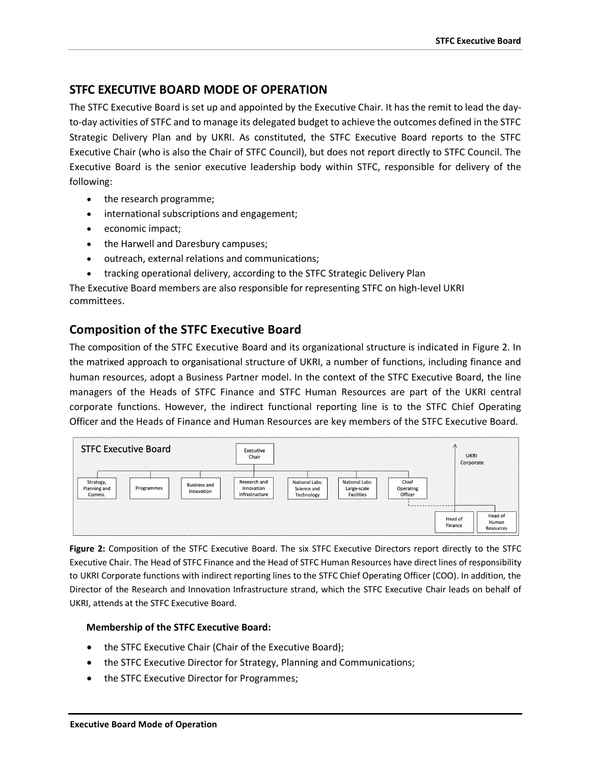## **STFC EXECUTIVE BOARD MODE OF OPERATION**

The STFC Executive Board is set up and appointed by the Executive Chair. It has the remit to lead the dayto-day activities of STFC and to manage its delegated budget to achieve the outcomes defined in the STFC Strategic Delivery Plan and by UKRI. As constituted, the STFC Executive Board reports to the STFC Executive Chair (who is also the Chair of STFC Council), but does not report directly to STFC Council. The Executive Board is the senior executive leadership body within STFC, responsible for delivery of the following:

- the research programme;
- international subscriptions and engagement;
- economic impact;
- the Harwell and Daresbury campuses;
- outreach, external relations and communications;
- tracking operational delivery, according to the STFC Strategic Delivery Plan

The Executive Board members are also responsible for representing STFC on high-level UKRI committees.

# **Composition of the STFC Executive Board**

The composition of the STFC Executive Board and its organizational structure is indicated in Figure 2. In the matrixed approach to organisational structure of UKRI, a number of functions, including finance and human resources, adopt a Business Partner model. In the context of the STFC Executive Board, the line managers of the Heads of STFC Finance and STFC Human Resources are part of the UKRI central corporate functions. However, the indirect functional reporting line is to the STFC Chief Operating Officer and the Heads of Finance and Human Resources are key members of the STFC Executive Board.



**Figure 2:** Composition of the STFC Executive Board. The six STFC Executive Directors report directly to the STFC Executive Chair. The Head of STFC Finance and the Head of STFC Human Resources have direct lines of responsibility to UKRI Corporate functions with indirect reporting lines to the STFC Chief Operating Officer (COO). In addition, the Director of the Research and Innovation Infrastructure strand, which the STFC Executive Chair leads on behalf of UKRI, attends at the STFC Executive Board.

#### **Membership of the STFC Executive Board:**

- the STFC Executive Chair (Chair of the Executive Board);
- the STFC Executive Director for Strategy, Planning and Communications;
- the STFC Executive Director for Programmes;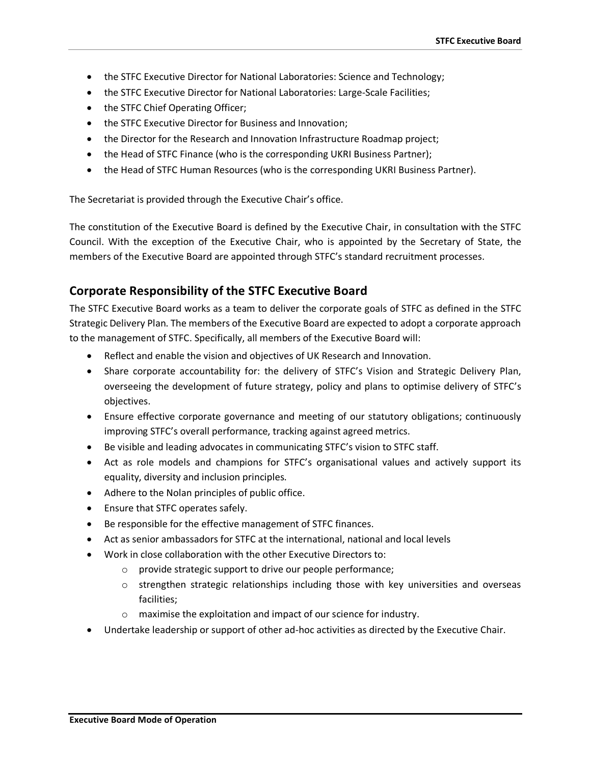- the STFC Executive Director for National Laboratories: Science and Technology;
- the STFC Executive Director for National Laboratories: Large-Scale Facilities;
- the STFC Chief Operating Officer;
- the STFC Executive Director for Business and Innovation;
- the Director for the Research and Innovation Infrastructure Roadmap project;
- the Head of STFC Finance (who is the corresponding UKRI Business Partner);
- the Head of STFC Human Resources (who is the corresponding UKRI Business Partner).

The Secretariat is provided through the Executive Chair's office.

The constitution of the Executive Board is defined by the Executive Chair, in consultation with the STFC Council. With the exception of the Executive Chair, who is appointed by the Secretary of State, the members of the Executive Board are appointed through STFC's standard recruitment processes.

## **Corporate Responsibility of the STFC Executive Board**

The STFC Executive Board works as a team to deliver the corporate goals of STFC as defined in the STFC Strategic Delivery Plan. The members of the Executive Board are expected to adopt a corporate approach to the management of STFC. Specifically, all members of the Executive Board will:

- Reflect and enable the vision and objectives of UK Research and Innovation.
- Share corporate accountability for: the delivery of STFC's Vision and Strategic Delivery Plan, overseeing the development of future strategy, policy and plans to optimise delivery of STFC's objectives.
- Ensure effective corporate governance and meeting of our statutory obligations; continuously improving STFC's overall performance, tracking against agreed metrics.
- Be visible and leading advocates in communicating STFC's vision to STFC staff.
- Act as role models and champions for STFC's organisational values and actively support its equality, diversity and inclusion principles.
- Adhere to the Nolan principles of public office.
- Ensure that STFC operates safely.
- Be responsible for the effective management of STFC finances.
- Act as senior ambassadors for STFC at the international, national and local levels
- Work in close collaboration with the other Executive Directors to:
	- o provide strategic support to drive our people performance;
	- $\circ$  strengthen strategic relationships including those with key universities and overseas facilities;
	- o maximise the exploitation and impact of our science for industry.
- Undertake leadership or support of other ad-hoc activities as directed by the Executive Chair.